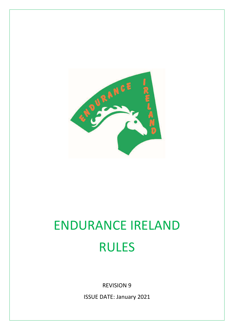

# ENDURANCE IRELAND RULES

REVISION 9

ISSUE DATE: January 2021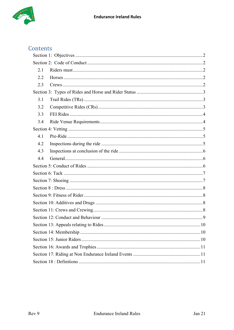

## Contents

| 2.1 |  |  |  |  |  |
|-----|--|--|--|--|--|
| 2.2 |  |  |  |  |  |
| 2.3 |  |  |  |  |  |
|     |  |  |  |  |  |
| 3.1 |  |  |  |  |  |
| 3.2 |  |  |  |  |  |
| 3.3 |  |  |  |  |  |
| 3.4 |  |  |  |  |  |
|     |  |  |  |  |  |
| 4.1 |  |  |  |  |  |
| 4.2 |  |  |  |  |  |
| 4.3 |  |  |  |  |  |
| 4.4 |  |  |  |  |  |
|     |  |  |  |  |  |
|     |  |  |  |  |  |
|     |  |  |  |  |  |
|     |  |  |  |  |  |
|     |  |  |  |  |  |
|     |  |  |  |  |  |
|     |  |  |  |  |  |
|     |  |  |  |  |  |
|     |  |  |  |  |  |
|     |  |  |  |  |  |
|     |  |  |  |  |  |
|     |  |  |  |  |  |
|     |  |  |  |  |  |
|     |  |  |  |  |  |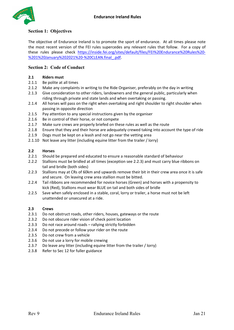

#### <span id="page-2-0"></span>**Section 1: Objectives**

The objective of Endurance Ireland is to promote the sport of endurance. At all times please note the most recent version of the FEI rules supercedes any relevant rules that follow. For a copy of these rules please check [https://inside.fei.org/sites/default/files/FEI%20Endurance%20Rules%20-](https://inside.fei.org/sites/default/files/FEI%20Endurance%20Rules%20-%201%20January%202021%20-%20CLEAN.final_.pdf) [%201%20January%202021%20-%20CLEAN.final\\_.pdf.](https://inside.fei.org/sites/default/files/FEI%20Endurance%20Rules%20-%201%20January%202021%20-%20CLEAN.final_.pdf)

#### <span id="page-2-1"></span>**Section 2: Code of Conduct**

#### <span id="page-2-2"></span>**2.1 Riders must**

- 2.1.1 Be polite at all times
- 2.1.2 Make any complaints in writing to the Ride Organiser, preferably on the day in writing
- 2.1.3 Give consideration to other riders, landowners and the general public, particularly when riding through private and state lands and when overtaking or passing.
- 2.1.4 All horses will pass on the right when overtaking and right shoulder to right shoulder when passing in opposite direction
- 2.1.5 Pay attention to any special instructions given by the organiser
- 2.1.6 Be in control of their horse, or not compete
- 2.1.7 Make sure crews are properly briefed on these rules as well as the route
- 2.1.8 Ensure that they and their horse are adequately crewed taking into account the type of ride
- 2.1.9 Dogs must be kept on a leash and not go near the vetting area
- 2.1.10 Not leave any litter (including equine litter from the trailer / lorry)

#### <span id="page-2-3"></span>**2.2 Horses**

- 2.2.1 Should be prepared and educated to ensure a reasonable standard of behaviour
- 2.2.2 Stallions must be bridled at all times (exception see 2.2.3) and must carry blue ribbons on tail and bridle (both sides)
- 2.2.3 Stallions may at CRs of 60km and upwards remove their bit in their crew area once it is safe and secure. On leaving crew area stallion must be bitted.
- 2.2.4 Tail ribbons are recommended for novice horses (Green) and horses with a propensity to kick (Red), Stallions must wear BLUE on tail and both sides of bridle
- 2.2.5 Save when safely enclosed in a stable, coral, lorry or trailer, a horse must not be left unattended or unsecured at a ride.

#### <span id="page-2-4"></span>**2.3 Crews**

- 2.3.1 Do not obstruct roads, other riders, houses, gateways or the route
- 2.3.2 Do not obscure rider vision of check point location
- 2.3.3 Do not race around roads rallying strictly forbidden
- 2.3.4 Do not precede or follow your rider on the route
- 2.3.5 Do not crew from a vehicle
- 2.3.6 Do not use a lorry for mobile crewing
- 2.3.7 Do leave any litter (including equine litter from the trailer / lorry)
- 2.3.8 Refer to Sec 12 for fuller guidance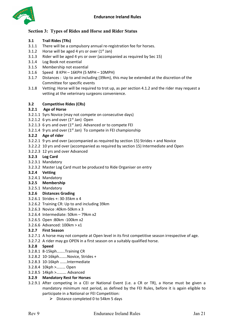

#### <span id="page-3-0"></span>**Section 3: Types of Rides and Horse and Rider Status**

- <span id="page-3-1"></span>**3.1 Trail Rides (TRs)**
- 3.1.1 There will be a compulsory annual re-registration fee for horses.
- 3.1.2 Horse will be aged 4 yrs or over  $(1<sup>st</sup>$  Jan)
- 3.1.3 Rider will be aged 4 yrs or over (accompanied as required by Sec 15)
- 3.1.4 Log Book not essential
- 3.1.5 Membership not essential
- 3.1.6 Speed 8 KPH 16KPH (5 MPH 10MPH)
- 3.1.7 Distances : Up to and including (39km), this may be extended at the discretion of the Committee for specific events
- 3.1.8 Vetting: Horse will be required to trot up, as per section 4.1.2 and the rider may request a vetting at the veterinary surgeons convenience.

#### <span id="page-3-2"></span>**3.2 Competitive Rides (CRs)**

#### **3.2.1 Age of Horse**

- 3.2.1.1 5yrs Novice (may not compete on consecutive days)
- 3.2.1.2 6 yrs and over  $(1<sup>st</sup>$  Jan) Open
- 3.2.1.3 6 yrs and over  $(1<sup>st</sup>$  Jan) Advanced or to compete FEI
- 3.2.1.4 9 yrs and over  $(1<sup>st</sup>$  Jan) To compete in FEI championship

#### **3.2.2 Age of rider**

- 3.2.2.1 9 yrs and over (accompanied as required by section 15) Strides + and Novice
- 3.2.2.2 10 yrs and over (accompanied as required by section 15) Intermediate and Open
- 3.2.2.3 12 yrs and over Advanced

#### **3.2.3 Log Card**

- 3.2.3.1 Mandatory
- 3.2.3.2 Master Log Card must be produced to Ride Organiser on entry

#### **3.2.4 Vetting**

- 3.2.4.1 Mandatory
- **3.2.5 Membership**
- 3.2.5.1 Mandatory

#### **3.2.6 Distances Grading**

- 3.2.6.1 Strides +: 30-35km x 4
- 3.2.6.2 Training CR: Up to and including 39km
- 3.2.6.3 Novice :40km-50km x 3
- 3.2.6.4 Intermediate: 50km 79km x2
- 3.2.6.5 Open :80km -100km x2
- 3.2.6.6 Advanced: 100km > x1

#### **3.2.7 First Season**

- 3.2.7.1 A horse may not compete at Open level in its first competitive season irrespective of age.
- 3.2.7.2 A rider may go OPEN in a first season on a suitably qualified horse.

#### **3.2.8 Speed**

- 3.2.8.1 8-15kph……..Training CR
- 3.2.8.2 10-16kph……..Novice, Strides +
- 3.2.8.3 10-16kph …….Intermediate
- 3.2.8.4 10kph >……… Open
- 3.2.8.5 14kph >………. Advanced

#### **3.2.9 Mandatory Rest for Horses**

- 3.2.9.1 After competing in a CEI or National Event (i.e. a CR or TR), a Horse must be given a mandatory minimum rest period, as defined by the FEI Rules, before it is again eligible to participate in a National or FEI Competition:
	- $\triangleright$  Distance completed 0 to 54km 5 days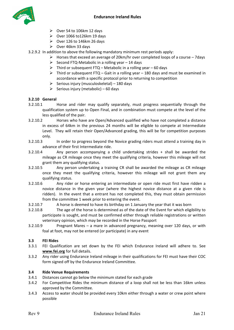

- $\triangleright$  Over 54 to 106km 12 days
- $\triangleright$  Over 1066 to 126 km 19 days
- $\triangleright$  Over 126 to 146km 26 days
- $\triangleright$  Over 46km 33 days
- 3.2.9.2 In addition to above the following mandatory minimum rest periods apply:
	- $\triangleright$  Horses that exceed an average of 20km/hr over completed loops of a course 7days
	- $\triangleright$  Second FTQ-Metabolic in a rolling year 14 days
	- $\triangleright$  Third or subsequent FTQ Metabolic in a rolling year 60 days
	- $\triangleright$  Third or subsequent FTQ Gait in a rolling year 180 days and must be examined in accordance with a specific protocol prior to returning to competition
	- $\triangleright$  Serious injury (musculoskeletal) 180 days
	- $\triangleright$  Serious injury (metabolic) 60 days

#### **3.2.10 General**

- 3.2.10.1 Horse and rider may qualify separately, must progress sequentially through the qualification system up to Open Final, and in combination must compete at the level of the less qualified of the pair.
- 3.2.10.2 Horses who have are Open/Advanced qualified who have not completed a distance in excess of 64km in the previous 24 months will be eligible to compete at Intermediate Level. They will retain their Open/Advanced grading, this will be for competition purposes only.
- 3.2.10.3 In order to progress beyond the Novice grading riders must attend a training day in advance of their first Intermediate ride.
- 3.2.10.4 Any person accompanying a child undertaking strides + shall be awarded the mileage as CR mileage once they meet the qualifying criteria, however this mileage will not grant them any qualifying status.
- 3.2.10.5 Any person undertaking a training CR shall be awarded the mileage as CR mileage once they meet the qualifying criteria, however this mileage will not grant them any qualifying status.
- 3.2.10.6 Any rider or horse entering an intermediate or open ride must first have ridden a novice distance in the given year (where the highest novice distance at a given ride is ridden). In the event that a entrant has not completed this, they must obtain permission from the committee 1 week prior to entering the event.
- 3.2.10.7 A horse is deemed to have its birthday on 1 January the year that it was born
- 3.2.10.8 The age of the horse is determined as of the date of the Event for which eligibility to participate is sought, and must be confirmed either through reliable registrations or written veterinary opinion, which may be recorded in the Horse Passport
- 3.2.10.9 Pregnant Mares a mare in advanced pregnancy, meaning over 120 days, or with foal at foot, may not be entered (or participate) in any event

#### <span id="page-4-0"></span>**3.3 FEI Rides**

- 3.3.1 FEI Qualification are set down by the FEI which Endurance Ireland will adhere to. See **[www.fei.org](http://www.fei.org/)** for full details.
- 3.3.2 Any rider using Endurance Ireland mileage in their qualifications for FEI must have their COC form signed off by the Endurance Ireland Committee.

#### <span id="page-4-1"></span>**3.4 Ride Venue Requirements**

- 3.4.1 Distances cannot go below the minimum stated for each grade
- 3.4.2 For Competitive Rides the minimum distance of a loop shall not be less than 16km unless approved by the Committee.
- 3.4.3 Access to water should be provided every 10km either through a water or crew point where possible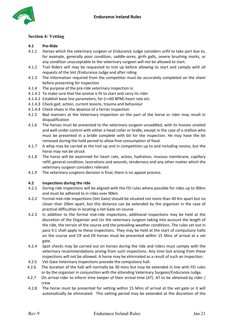

#### <span id="page-5-0"></span>**Section 4: Vetting**

#### <span id="page-5-1"></span>**4.1 Pre-Ride**

- 4.1.1 Horses which the veterinary surgeon or Endurance Judge considers unfit to take part due to, for example, generally poor condition, saddle-sores, girth galls, severe brushing marks, or any condition unacceptable to the veterinary surgeon will not be allowed to start.
- 4.1.2 Trail Riders will may be requested to trot up before allowing to start and comply with all requests of the Vet /Endurance Judge and after riding
- 4.1.3 The information required from the competitor must be accurately completed on the sheet before presenting for inspection
- 4.1.4 The purpose of the pre-ride veterinary inspection is:
- 4.1.4.1 To make sure that the animal is fit to start and carry its rider
- 4.1.4.2 Establish base line parameters, for (<=60 BPM) heart rate etc.
- 4.1.4.3 Check gait, action, current lesions, trauma and behaviour
- 4.1.4.4 Check shoes in the absence of a farrier inspection
- 4.1.5 Bad manners at the Veterinary Inspection on the part of the horse or rider may result in disqualification
- 4.1.6 The horses must be presented to the veterinary surgeon unsaddled, with its hooves unoiled and well under control with either a head collar or bridle, except in the case of a stallion who must be presented in a bridle complete with bit for the inspection. He may have the bit removed during the hold period to allow free consumption of food.
- 4.1.7 A whip may be carried at the trot up and in competition up to and including novice, but the horse may not be struck
- 4.1.8 The horse will be examined for heart rate, action, hydration, mucous membrane, capillary refill, general condition, lacerations and wounds, tenderness and any other matter which the veterinary surgeon considers relevant
- 4.1.9 The veterinary surgeons decision is final, there is no appeal process.

#### <span id="page-5-2"></span>**4.2 Inspections during the ride**

- 4.2.1 During ride inspections will be aligned with the FEI rules where possible for rides up to 90km and must be adhered to in rides over 90km
- 4.2.2 Formal mid-ride inspections (Vet Gate) should be situated not more than 40 Km apart but no closer than 20km apart, but this distance can be extended by the organiser in the case of practical difficulties in locating a Vet Gate on course
- 4.2.3 In addition to the formal mid-ride inspections, additional inspections may be held at the discretion of the Organiser and /or the veterinary surgeon taking into account the length of the ride, the terrain of the course and the prevailing weather conditions. The rules set out in para 4.1 shall apply to these inspections. They may be held at the start of compulsory halts on the course and CR and ER horses must be presented within 15 Mins of arrival at a vet gate.
- 4.2.4 Spot checks may be carried out on horses during the ride and riders must comply with the veterinary recommendations arising from such inspections. Any time lost arising from these inspections will not be allowed. A horse may be eliminated as a result of such an inspection.
- 4.2.5 Vet Gate Veterinary Inspections precede the compulsory halt.
- 4.2.6 The duration of the halt will normally be 30 mins but may be extended in line with FEI rules or by the organiser in conjunction with the attending Veterinary Surgeon/Endurance Judge.
- 4.2.7 On arrival rider to inform time keeper of their arrival time (AT). AT to be obtained by rider / crew
- 4.2.8 The horse must be presented for vetting within 15 Mins of arrival at the vet gate or it will automatically be eliminated. This vetting period may be extended at the discretion of the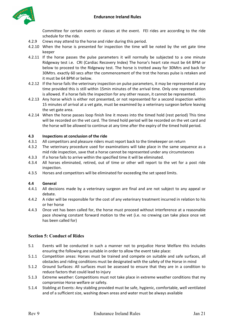

Committee for certain events or classes at the event. FEI rides are according to the ride schedule for the ride.

- 4.2.9 Crews may attend to the horse and rider during this period.
- 4.2.10 When the horse is presented for inspection the time will be noted by the vet gate time keeper
- 4.2.11 If the horse passes the pulse parameters it will normally be subjected to a one minute Ridgeway test i.e. CRI (Cardiac Recovery Index) The horse's heart rate must be 64 BPM or below to proceed to the Ridgeway test. The horse is trotted away for 30Mtrs and back for 30Mtrs. exactly 60 secs after the commencement of the trot the horses pulse is retaken and it must be 64 BPM or below.
- 4.2.12 If the horse fails the veterinary inspection on pulse parameters, it may be represented at any time provided this is still within 15min minutes of the arrival time. Only one representation is allowed. If a horse fails the inspection for any other reason, it cannot be represented.
- 4.2.13 Any horse which is either not presented, or not represented for a second inspection within 15 minutes of arrival at a vet gate, must be examined by a veterinary surgeon before leaving the vet gate area.
- 4.2.14 When the horse passes loop finish line it moves into the timed hold (rest period) This time will be recorded on the vet card. The timed hold period will be recorded on the vet card and the horse will be allowed to continue at any time after the expiry of the timed hold period.

#### <span id="page-6-0"></span>**4.3 Inspections at conclusion of the ride**

- 4.3.1 All competitors and pleasure riders must report back to the timekeeper on return
- 4.3.2 The veterinary procedure used for examinations will take place in the same sequence as a mid ride inspection, save that a horse cannot be represented under any circumstances
- 4.3.3 If a horse fails to arrive within the specified time it will be eliminated.
- 4.3.4 All horses eliminated, retired, out of time or other will report to the vet for a post ride inspection.
- 4.3.5 Horses and competitors will be eliminated for exceeding the set speed limits.

#### <span id="page-6-1"></span>**4.4 General**

- 4.4.1 All decisions made by a veterinary surgeon are final and are not subject to any appeal or debate.
- 4.4.2 A rider will be responsible for the cost of any veterinary treatment incurred in relation to his or her horse
- 4.4.3 Once vet has been called for, the horse must proceed without interference at a reasonable pace showing constant forward motion to the vet (i.e. no crewing can take place once vet has been called for)

#### <span id="page-6-2"></span>**Section 5: Conduct of Rides**

- 5.1 Events will be conducted in such a manner not to prejudice Horse Welfare this includes ensuring the following are suitable in order to allow the event take place:
- 5.1.1 Competition areas: Horses must be trained and compete on suitable and safe surfaces, all obstacles and riding conditions must be designated with the safety of the Horse in mind
- 5.1.2 Ground Surfaces: All surfaces must be assessed to ensure that they are in a condition to reduce factors that could lead to injury
- 5.1.3 Extreme weather: Competitions must not take place in extreme weather conditions that my compromise Horse welfare or safety.
- 5.1.4 Stabling at Events: Any stabling provided must be safe, hygienic, comfortable, well ventilated and of a sufficient size, washing down areas and water must be always available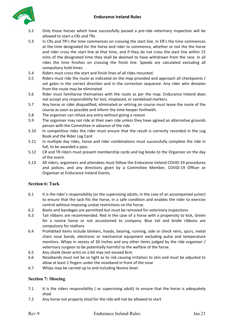

- 5.2 Only those horses which have successfully passed a pre-ride veterinary inspection will be allowed to start a CRs and TRs
- 5.3 In CRs and TR's the time commences on crossing the start line. In ER's the time commences at the time designated for the horse and rider to commence, whether or not the the horse and rider cross the start line at that time, and if they do not cross the start line within 15 mins of the designated time they shall be deemed to have withdrawn from the race. In all rides the time finishes on crossing the finish line. Speeds are calculated excluding all compulsory hold times.
- 5.4 Riders must cross the start and finish lines of all rides mounted.
- 5.5 Riders must ride the route as indicated on the map provided and approach all checkpoints / vet gates in the correct direction and in the correction sequence. Any rider who deviates from the route may be eliminated
- 5.6 Rider must familiarise themselves with the route as per the map. Endurance Ireland does not accept any responsibility for lost, misplaced, or vandalised markers.
- 5.7 Any horse or rider disqualified, eliminated or retiring on course must leave the route of the course as soon as possible and inform the time-keeper forthwith.
- 5.8 The organiser can refuse any entry without giving a reason
- 5.9 The organiser may not ride at their own ride unless they have agreed an alternative grounds person with the Committee in advance of the ride
- 5.10 In competitive rides the rider must ensure that the result is correctly recorded in the Log Book and the Rider Log Card
- 5.11 In multiple day rides, horse and rider combinations must successfully complete the ride in full, to be awarded a pass.
- 5.12 CR and TR riders must present membership cards and log books to the Organiser on the day of the event.
- 5.13 All riders, organisers and attendees must follow the Endurance Ireland COVID-19 procedures and polices, and any directions given by a Committee Member, COVID-19 Officer or Organiser at Endurance Ireland Events.

#### <span id="page-7-0"></span>**Section 6: Tack**

- 6.1 It is the rider's responsibility (or the supervising adults, in the case of an accompanied junior) to ensure that the tack fits the horse, in a safe condition and enables the rider to exercise control without imposing undue restrictions on the horse.
- 6.2 Boots and bandages are permitted but must be removed for veterinary inspections
- 6.3 Tail ribbons are recommended. Red in the case of a horse with a propensity to kick, Green for a novice horse or not accustomed to company. Blue tail and bridle ribbons are compulsory for stallions
- 6.4 Prohibited items include blinkers, hoods, bearing, running, side or check reins, spurs, metal chain nose bands, electronic or mechanical equipment excluding pulse and temperature monitors. Whips in excess of 30 Inches and any other items judged by the ride organiser / veterinary surgeon to be potentially harmful to the welfare of the horse.
- 6.5 Any shank (lever arm) on a bit may not exceed 8cm
- 6.6 Nosebands must not be so tight as to risk causing irritation to skin and must be adjusted to allow at least 2 fingers under the noseband in front of the nose
- 6.7 Whips may be carried up to and including Novice level.

#### <span id="page-7-1"></span>**Section 7: Shoeing**

- 7.1 It is the riders responsibility ( or supervising adult) to ensure that the horse is adequately shod
- 7.2 Any horse not properly shod for the ride will not be allowed to start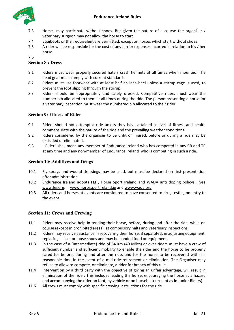

- 7.3 Horses may participate without shoes. But given the nature of a course the organiser / veterinary surgeon may not allow the horse to start
- 7.4 Equiboots or their equivalent are permitted, except on horses which start without shoes
- 7.5 A rider will be responsible for the cost of any farrier expenses incurred in relation to his / her horse

7.6

#### <span id="page-8-0"></span>**Section 8 : Dress**

- 8.1 Riders must wear properly secured hats / crash helmets at all times when mounted. The head gear must comply with current standards.
- 8.2 Riders must use footwear with at least half an inch heel unless a stirrup cage is used, to prevent the foot slipping through the stirrup.
- 8.3 Riders should be appropriately and safely dressed. Competitive riders must wear the number bib allocated to them at all times during the ride. The person presenting a horse for a veterinary inspection must wear the numbered bib allocated to their rider

#### <span id="page-8-1"></span>**Section 9: Fitness of Rider**

- 9.1 Riders should not attempt a ride unless they have attained a level of fitness and health commensurate with the nature of the ride and the prevailing weather conditions.
- 9.2 Riders considered by the organiser to be unfit or injured, before or during a ride may be excluded or eliminated.
- 9.3 "Rider" shall mean any member of Endurance Ireland who has competed in any CR and TR at any time and any non-member of Endurance Ireland who is competing in such a ride.

#### <span id="page-8-2"></span>**Section 10: Additives and Drugs**

- 10.1 Fly sprays and wound dressings may be used, but must be declared on first presentation after administration
- 10.2 Endurance Ireland adopts FEI , Horse Sport Ireland and WADA anti doping policys . See [www.fei.org,](http://www.fei.org/) [www.horsesportireland.ie](http://www.horsesportireland.ie/) and [www.wada.org](http://www.wada.org/)
- 10.3 All riders and horses at events are considered to have consented to drug testing on entry to the event

#### <span id="page-8-3"></span>**Section 11: Crews and Crewing**

- 11.1 Riders may receive help in tending their horse, before, during and after the ride, while on course (except in prohibited areas), at compulsory halts and veterinary inspections.
- 11.2 Riders may receive assistance in recovering their horse, if separated, in adjusting equipment, replacing lost or loose shoes and may be handed food or equipment.
- 11.3 In the case of a (Intermediate) ride of 64 Km (40 Miles) or over riders must have a crew of sufficient number and sufficient mobility to enable the rider and the horse to be properly cared for before, during and after the ride, and for the horse to be recovered within a reasonable time in the event of a mid-ride retirement or elimination. The Organiser may refuse to allow to compete, or eliminate, a rider for breach of this rule.
- 11.4 Intervention by a third party with the objective of giving an unfair advantage, will result in elimination of the rider. This includes leading the horse, encouraging the horse at a hazard and accompanying the rider on foot, by vehicle or on horseback (except as in Junior Riders).
- 11.5 All crews must comply with specific crewing instructions for the ride.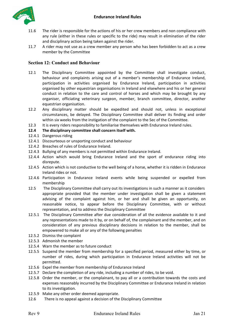

- 11.6 The rider is responsible for the actions of his or her crew members and non compliance with any rule (either in these rules or specific to the ride) may result in elimination of the rider and disciplinary action being taken against the rider.
- 11.7 A rider may not use as a crew member any person who has been forbidden to act as a crew member by the Committee

#### <span id="page-9-0"></span>**Section 12: Conduct and Behaviour**

- 12.1 The Disciplinary Committee appointed by the Committee shall investigate conduct, behaviour and complaints arising out of a member's membership of Endurance Ireland, participation in activities organised by Endurance Ireland, participation in activities organised by other equestrian organisations in Ireland and elsewhere and his or her general conduct in relation to the care and control of horses and which may be brought by any organiser, officiating veterinary surgeon, member, branch committee, director, another equestrian organisation.
- 12.2 Any disciplinary matter should be expedited and should not, unless in exceptional circumstances, be delayed. The Disciplinary Committee shall deliver its finding and order within six weeks from the instigation of the complaint to the Sec of the Committee.
- 12.3 It is every riders responsibility to familiarise themselves with Endurance Ireland rules.

#### **12.4 The disciplinary committee shall concern itself with.**

- 12.4.1 Dangerous riding
- 12.4.1 Discourteous or unsporting conduct and behaviour
- 12.4.2 Breaches of rules of Endurance Ireland.
- 12.4.3 Bullying of any members is not permitted within Endurance Ireland.
- 12.4.4 Action which would bring Endurance Ireland and the sport of endurance riding into disrepute.
- 12.4.5 Action which is not conductive to the well being of a horse, whether it is ridden in Endurance Ireland rides or not.
- 12.4.6 Participation in Endurance Ireland events while being suspended or expelled from membership
- 12.5 The Disciplinary Committee shall carry out its investigations in such a manner as it considers appropriate provided that the member under investigation shall be given a statement advising of the complaint against him, or her and shall be given an opportunity, on reasonable notice, to appear before the Disciplinary Committee, with or without representation, and to address the Disciplinary Committee
- 12.5.1 The Disciplinary Committee after due consideration of all the evidence available to it and any representations made to it by, or on behalf of, the complainant and the member, and on consideration of any previous disciplinary decisions in relation to the member, shall be empowered to make all or any of the following penalties
- 12.5.2 Dismiss the complaint
- 12.5.3 Admonish the member
- 12.5.4 Warn the member as to future conduct
- 12.5.5 Suspend the member from membership for a specified period, measured either by time, or number of rides, during which participation in Endurance Ireland activities will not be permitted.
- 12.5.6 Expel the member from membership of Endurance Ireland
- 12.5.7 Declare the completion of any ride, including a number of rides, to be void.
- 12.5.8 Order the member, or the complainant, to pay all or a contribution towards the costs and expenses reasonably incurred by the Disciplinary Committee or Endurance Ireland in relation to its investigation.
- 12.5.9 Make any other order deemed appropriate.
- 12.6 There is no appeal against a decision of the Disciplinary Committee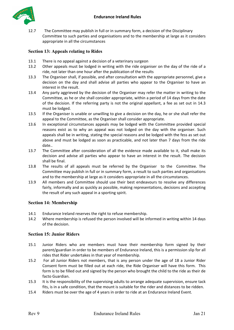

12.7 The Committee may publish in full or in summary form, a decision of the Disciplinary Committee to such parties and organisations and to the membership at large as it considers appropriate in all the circumstances

#### <span id="page-10-0"></span>**Section 13: Appeals relating to Rides**

- 13.1 There is no appeal against a decision of a veterinary surgeon
- 13.2 Other appeals must be lodged in writing with the ride organiser on the day of the ride of a ride, not later than one hour after the publication of the results
- 13.3 The Organiser shall, if possible, and after consultation with the appropriate personnel, give a decision on the day and shall advise all parties who appear to the Organiser to have an interest in the result.
- 13.4 Any party aggrieved by the decision of the Organiser may refer the matter in writing to the Committee, as he or she shall consider appropriate, within a period of 14 days from the date of the decision. If the referring party is not the original appellant, a fee as set out in 14.3 must be lodged.
- 13.5 If the Organiser is unable or unwilling to give a decision on the day, he or she shall refer the appeal to the Committee, as the Organiser shall consider appropriate.
- 13.6 In exceptional circumstances appeals may be lodged with the Committee provided special reasons exist as to why an appeal was not lodged on the day with the organiser. Such appeals shall be in writing, stating the special reasons and be lodged with the fess as set out above and must be lodged as soon as practicable, and not later than 7 days from the ride date..
- 13.7 The Committee after consideration of all the evidence made available to it, shall make its decision and advise all parties who appear to have an interest in the result. The decision shall be final.
- 13.8 The results of all appeals must be referred by the Organiser to the Committee. The Committee may publish in full or in summary form, a result to such parties and organisations and to the membership at large as it considers appropriate in all the circumstances.
- 13.9 All members and Committee should use their best endeavours to resolve any differences fairly, informally and as quickly as possible, making representations, decisions and accepting the result of any such appeal in a sporting spirit.

#### <span id="page-10-1"></span>**Section 14: Membership**

- 14.1 Endurance Ireland reserves the right to refuse membership.
- 14.2 Where membership is refused the person involved will be informed in writing within 14 days of the decision.

#### <span id="page-10-2"></span>**Section 15: Junior Riders**

- 15.1 Junior Riders who are members must have their membership form signed by their parent/guardian in order to be members of Endurance Ireland, this is a permission slip for all rides that Rider undertakes in that year of membership.
- 15.2 For all Junior Riders not members, that is any person under the age of 18 a Junior Rider Consent form must be filled out at each ride, the Ride Organiser will have this form. This form is to be filled out and signed by the person who brought the child to the ride as their de facto Guardian.
- 15.3 It is the responsibility of the supervising adults to arrange adequate supervision, ensure tack fits, is in a safe condition, that the mount is suitable for the rider and distances to be ridden.
- 15.4 Riders must be over the age of 4 years in order to ride at an Endurance Ireland Event.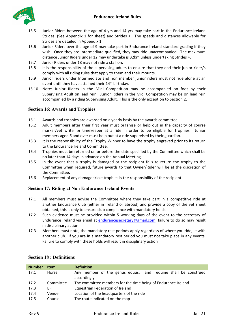

- 15.5 Junior Riders between the age of 4 yrs and 14 yrs may take part in the Endurance Ireland Strides, (See Appendix 1 for sheet) and Strides +. The speeds and distances allowable for Strides are detailed in Appendix 1.
- 15.6 Junior Riders over the age of 9 may take part in Endurance Ireland standard grading if they wish. Once they are Intermediate qualified, they may ride unaccompanied. The maximum distance Junior Riders under 12 may undertake is 32km unless undertaking Strides +.
- 15.7 Junior Riders under 18 may not ride a stallion.
- 15.8 It is the responsibility of the supervising adults to ensure that they and their junior rider/s comply with all riding rules that apply to them and their mounts.
- 15.9 Junior riders under Intermediate and non member junior riders must not ride alone at an event until they have attained their 14<sup>th</sup> birthday.
- 15.10 Note: Junior Riders in the Mini Competition may be accompanied on foot by their Supervising Adult on lead rein. Junior Riders in the Midi Competition may be on lead rein accompanied by a riding Supervising Adult. This is the only exception to Section 2.

#### <span id="page-11-0"></span>**Section 16: Awards and Trophies**

- 16.1 Awards and trophies are awarded on a yearly basis by the awards committee
- 16.2 Adult members after their first year must organise or help out in the capacity of course marker/vet writer & timekeeper at a ride in order to be eligible for trophies. Junior members aged 6 and over must help out at a ride supervised by their guardian.
- 16.3 It is the responsibility of the Trophy Winner to have the trophy engraved prior to its return to the Endurance Ireland Committee.
- 16.4 Trophies must be returned on or before the date specified by the Committee which shall be no later than 14 days in advance on the Annual Meeting.
- 16.5 In the event that a trophy is damaged or the recipient fails to return the trophy to the Committee when required, future awards to that Owner/Rider will be at the discretion of the Committee.
- 16.6 Replacement of any damaged/lost trophies is the responsibility of the recipient.

#### <span id="page-11-1"></span>**Section 17: Riding at Non Endurance Ireland Events**

- 17.1 All members must advise the Committee where they take part in a competitive ride at another Endurance Club (either in Ireland or abroad) and provide a copy of the vet sheet obtained, this is only to ensure club compliance with mandatory holds
- 17.2 Such evidence must be provided within 5 working days of the event to the secretary of Endurance Ireland via email at [endurancesecretary@gmail.com,](mailto:endurancesecretary@gmail.com) failure to do so may result in disciplinary action
- 17.3 Members must note, the mandatory rest periods apply regardless of where you ride, ie with another club. If you are in a mandatory rest period you must not take place in any events. Failure to comply with these holds will result in disciplinary action

| <b>Number</b> | <b>Item</b> | <b>Definition</b>                                                           |  |  |  |  |  |  |
|---------------|-------------|-----------------------------------------------------------------------------|--|--|--|--|--|--|
| 17.1          | Horse       | Any member of the genus equus, and equine shall be construed<br>accordingly |  |  |  |  |  |  |
| 17.2          | Committee   | The committee members for the time being of Endurance Ireland               |  |  |  |  |  |  |
| 17.3          | EFI.        | Equestrian Federation of Ireland                                            |  |  |  |  |  |  |
| 17.4          | Venue       | Location of the headquarters of the ride                                    |  |  |  |  |  |  |
| 17.5          | Course      | The route indicated on the map                                              |  |  |  |  |  |  |

#### <span id="page-11-2"></span>**Section 18 : Definitions**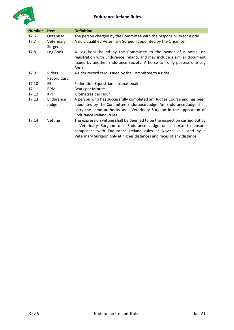

| <b>Number</b> | <b>Item</b>           | <b>Definition</b>                                                                                                                                                                                                                                                                        |
|---------------|-----------------------|------------------------------------------------------------------------------------------------------------------------------------------------------------------------------------------------------------------------------------------------------------------------------------------|
| 17.6          | Organiser             | The person charged by the Committee with the responsibility for a ride                                                                                                                                                                                                                   |
| 17.7          | Veterinary<br>Surgeon | A duly qualified Veterinary Surgeon appointed by the Organiser                                                                                                                                                                                                                           |
| 17.8          | Log Book              | A Log Book issued by the Committee to the owner of a horse, on<br>registration with Endurance Ireland, and may include a similar document<br>issued by another Endurance Society. A horse can only possess one Log<br><b>Book</b>                                                        |
| 17.9          | Riders                | A rider record card issued by the Committee to a rider                                                                                                                                                                                                                                   |
|               | <b>Record Card</b>    |                                                                                                                                                                                                                                                                                          |
| 17.10         | FEI                   | Federation Equestrian Internationale                                                                                                                                                                                                                                                     |
| 17.11         | <b>BPM</b>            | Beats per Minute                                                                                                                                                                                                                                                                         |
| 17.12         | KPH.                  | Kilometres per Hour                                                                                                                                                                                                                                                                      |
| 17.13         | Endurance<br>Judge    | A person who has successfully completed an Judges Course and has been<br>appointed by The Committee Endurance Judge. An Endurance Judge shall<br>carry the same authority as a Veterinary Surgeon in the application of<br>Endurance Ireland rules.                                      |
| 17.14         | Vetting               | The expression vetting shall be deemed to be the inspection carried out by<br>a Veterinary Surgeon or Endurance Judge on a horse to ensure<br>compliance with Endurance Ireland rules at Novice level and by a<br>Veterinary Surgeon only at higher distances and races of any distance. |